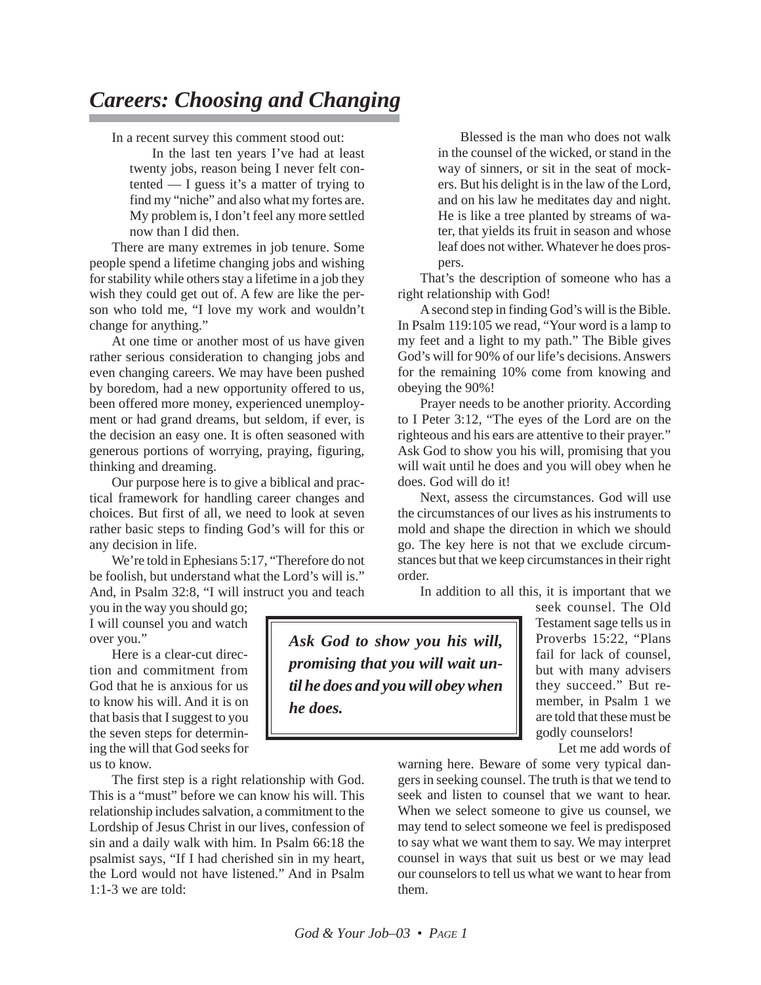## *Careers: Choosing and Changing*

In a recent survey this comment stood out:

In the last ten years I've had at least twenty jobs, reason being I never felt contented — I guess it's a matter of trying to find my "niche" and also what my fortes are. My problem is, I don't feel any more settled now than I did then.

There are many extremes in job tenure. Some people spend a lifetime changing jobs and wishing for stability while others stay a lifetime in a job they wish they could get out of. A few are like the person who told me, "I love my work and wouldn't change for anything."

At one time or another most of us have given rather serious consideration to changing jobs and even changing careers. We may have been pushed by boredom, had a new opportunity offered to us, been offered more money, experienced unemployment or had grand dreams, but seldom, if ever, is the decision an easy one. It is often seasoned with generous portions of worrying, praying, figuring, thinking and dreaming.

Our purpose here is to give a biblical and practical framework for handling career changes and choices. But first of all, we need to look at seven rather basic steps to finding God's will for this or any decision in life.

We're told in Ephesians 5:17, "Therefore do not be foolish, but understand what the Lord's will is." And, in Psalm 32:8, "I will instruct you and teach

you in the way you should go; I will counsel you and watch over you."

Here is a clear-cut direction and commitment from God that he is anxious for us to know his will. And it is on that basis that I suggest to you the seven steps for determining the will that God seeks for us to know.

The first step is a right relationship with God. This is a "must" before we can know his will. This relationship includes salvation, a commitment to the Lordship of Jesus Christ in our lives, confession of sin and a daily walk with him. In Psalm 66:18 the psalmist says, "If I had cherished sin in my heart, the Lord would not have listened." And in Psalm 1:1-3 we are told:

Blessed is the man who does not walk in the counsel of the wicked, or stand in the way of sinners, or sit in the seat of mockers. But his delight is in the law of the Lord, and on his law he meditates day and night. He is like a tree planted by streams of water, that yields its fruit in season and whose leaf does not wither. Whatever he does prospers.

That's the description of someone who has a right relationship with God!

A second step in finding God's will is the Bible. In Psalm 119:105 we read, "Your word is a lamp to my feet and a light to my path." The Bible gives God's will for 90% of our life's decisions. Answers for the remaining 10% come from knowing and obeying the 90%!

Prayer needs to be another priority. According to I Peter 3:12, "The eyes of the Lord are on the righteous and his ears are attentive to their prayer." Ask God to show you his will, promising that you will wait until he does and you will obey when he does. God will do it!

Next, assess the circumstances. God will use the circumstances of our lives as his instruments to mold and shape the direction in which we should go. The key here is not that we exclude circumstances but that we keep circumstances in their right order.

In addition to all this, it is important that we

*Ask God to show you his will, promising that you will wait until he does and you will obey when he does.*

seek counsel. The Old Testament sage tells us in Proverbs 15:22, "Plans fail for lack of counsel, but with many advisers they succeed." But remember, in Psalm 1 we are told that these must be godly counselors!

Let me add words of

warning here. Beware of some very typical dangers in seeking counsel. The truth is that we tend to seek and listen to counsel that we want to hear. When we select someone to give us counsel, we may tend to select someone we feel is predisposed to say what we want them to say. We may interpret counsel in ways that suit us best or we may lead our counselors to tell us what we want to hear from them.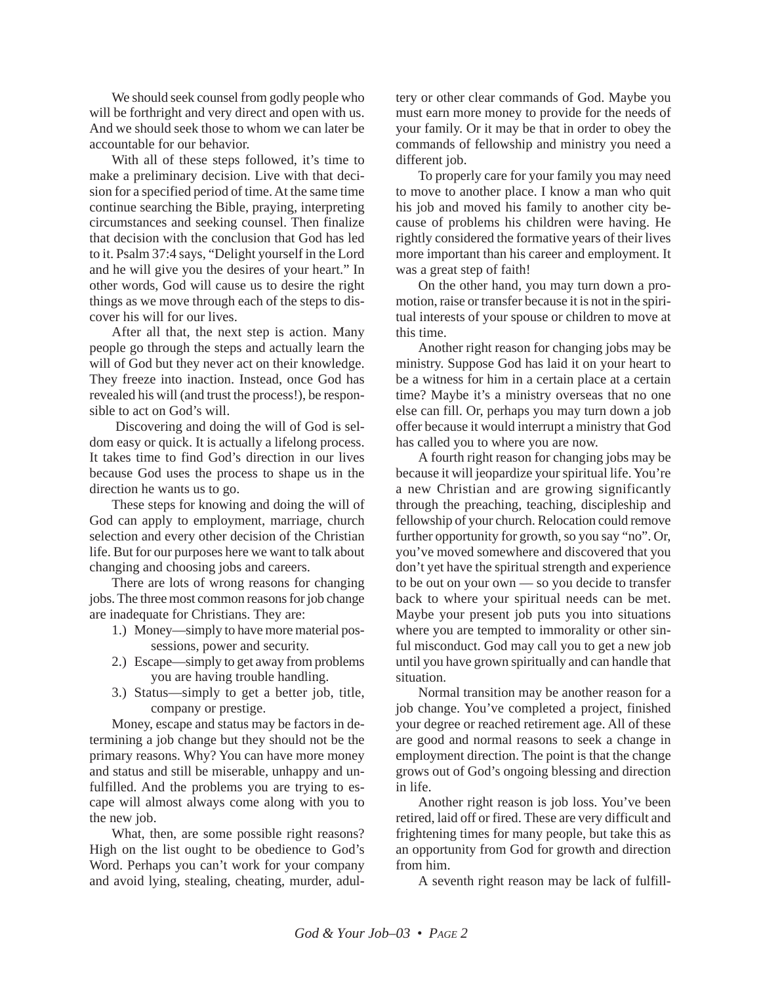We should seek counsel from godly people who will be forthright and very direct and open with us. And we should seek those to whom we can later be accountable for our behavior.

With all of these steps followed, it's time to make a preliminary decision. Live with that decision for a specified period of time. At the same time continue searching the Bible, praying, interpreting circumstances and seeking counsel. Then finalize that decision with the conclusion that God has led to it. Psalm 37:4 says, "Delight yourself in the Lord and he will give you the desires of your heart." In other words, God will cause us to desire the right things as we move through each of the steps to discover his will for our lives.

After all that, the next step is action. Many people go through the steps and actually learn the will of God but they never act on their knowledge. They freeze into inaction. Instead, once God has revealed his will (and trust the process!), be responsible to act on God's will.

Discovering and doing the will of God is seldom easy or quick. It is actually a lifelong process. It takes time to find God's direction in our lives because God uses the process to shape us in the direction he wants us to go.

These steps for knowing and doing the will of God can apply to employment, marriage, church selection and every other decision of the Christian life. But for our purposes here we want to talk about changing and choosing jobs and careers.

There are lots of wrong reasons for changing jobs. The three most common reasons for job change are inadequate for Christians. They are:

- 1.) Money—simply to have more material possessions, power and security.
- 2.) Escape—simply to get away from problems you are having trouble handling.
- 3.) Status—simply to get a better job, title, company or prestige.

Money, escape and status may be factors in determining a job change but they should not be the primary reasons. Why? You can have more money and status and still be miserable, unhappy and unfulfilled. And the problems you are trying to escape will almost always come along with you to the new job.

What, then, are some possible right reasons? High on the list ought to be obedience to God's Word. Perhaps you can't work for your company and avoid lying, stealing, cheating, murder, adultery or other clear commands of God. Maybe you must earn more money to provide for the needs of your family. Or it may be that in order to obey the commands of fellowship and ministry you need a different job.

To properly care for your family you may need to move to another place. I know a man who quit his job and moved his family to another city because of problems his children were having. He rightly considered the formative years of their lives more important than his career and employment. It was a great step of faith!

On the other hand, you may turn down a promotion, raise or transfer because it is not in the spiritual interests of your spouse or children to move at this time.

Another right reason for changing jobs may be ministry. Suppose God has laid it on your heart to be a witness for him in a certain place at a certain time? Maybe it's a ministry overseas that no one else can fill. Or, perhaps you may turn down a job offer because it would interrupt a ministry that God has called you to where you are now.

A fourth right reason for changing jobs may be because it will jeopardize your spiritual life. You're a new Christian and are growing significantly through the preaching, teaching, discipleship and fellowship of your church. Relocation could remove further opportunity for growth, so you say "no". Or, you've moved somewhere and discovered that you don't yet have the spiritual strength and experience to be out on your own — so you decide to transfer back to where your spiritual needs can be met. Maybe your present job puts you into situations where you are tempted to immorality or other sinful misconduct. God may call you to get a new job until you have grown spiritually and can handle that situation.

Normal transition may be another reason for a job change. You've completed a project, finished your degree or reached retirement age. All of these are good and normal reasons to seek a change in employment direction. The point is that the change grows out of God's ongoing blessing and direction in life.

Another right reason is job loss. You've been retired, laid off or fired. These are very difficult and frightening times for many people, but take this as an opportunity from God for growth and direction from him.

A seventh right reason may be lack of fulfill-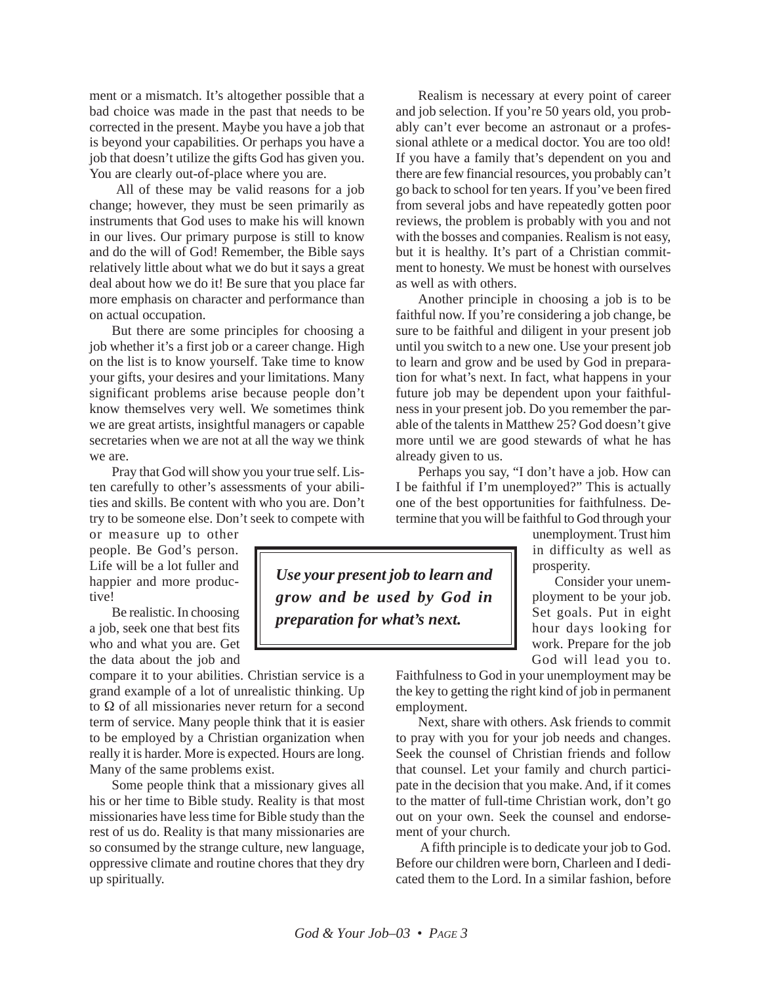ment or a mismatch. It's altogether possible that a bad choice was made in the past that needs to be corrected in the present. Maybe you have a job that is beyond your capabilities. Or perhaps you have a job that doesn't utilize the gifts God has given you. You are clearly out-of-place where you are.

All of these may be valid reasons for a job change; however, they must be seen primarily as instruments that God uses to make his will known in our lives. Our primary purpose is still to know and do the will of God! Remember, the Bible says relatively little about what we do but it says a great deal about how we do it! Be sure that you place far more emphasis on character and performance than on actual occupation.

But there are some principles for choosing a job whether it's a first job or a career change. High on the list is to know yourself. Take time to know your gifts, your desires and your limitations. Many significant problems arise because people don't know themselves very well. We sometimes think we are great artists, insightful managers or capable secretaries when we are not at all the way we think we are.

Pray that God will show you your true self. Listen carefully to other's assessments of your abilities and skills. Be content with who you are. Don't try to be someone else. Don't seek to compete with

or measure up to other people. Be God's person. Life will be a lot fuller and happier and more productive!

Be realistic. In choosing a job, seek one that best fits who and what you are. Get the data about the job and

compare it to your abilities. Christian service is a grand example of a lot of unrealistic thinking. Up to Ω of all missionaries never return for a second term of service. Many people think that it is easier to be employed by a Christian organization when really it is harder. More is expected. Hours are long. Many of the same problems exist.

Some people think that a missionary gives all his or her time to Bible study. Reality is that most missionaries have less time for Bible study than the rest of us do. Reality is that many missionaries are so consumed by the strange culture, new language, oppressive climate and routine chores that they dry up spiritually.

Realism is necessary at every point of career and job selection. If you're 50 years old, you probably can't ever become an astronaut or a professional athlete or a medical doctor. You are too old! If you have a family that's dependent on you and there are few financial resources, you probably can't go back to school for ten years. If you've been fired from several jobs and have repeatedly gotten poor reviews, the problem is probably with you and not with the bosses and companies. Realism is not easy, but it is healthy. It's part of a Christian commitment to honesty. We must be honest with ourselves as well as with others.

Another principle in choosing a job is to be faithful now. If you're considering a job change, be sure to be faithful and diligent in your present job until you switch to a new one. Use your present job to learn and grow and be used by God in preparation for what's next. In fact, what happens in your future job may be dependent upon your faithfulness in your present job. Do you remember the parable of the talents in Matthew 25? God doesn't give more until we are good stewards of what he has already given to us.

Perhaps you say, "I don't have a job. How can I be faithful if I'm unemployed?" This is actually one of the best opportunities for faithfulness. Determine that you will be faithful to God through your

> unemployment. Trust him in difficulty as well as prosperity.

> Consider your unemployment to be your job. Set goals. Put in eight hour days looking for work. Prepare for the job God will lead you to.

*Use your present job to learn and grow and be used by God in preparation for what's next.*

> Faithfulness to God in your unemployment may be the key to getting the right kind of job in permanent employment.

> Next, share with others. Ask friends to commit to pray with you for your job needs and changes. Seek the counsel of Christian friends and follow that counsel. Let your family and church participate in the decision that you make. And, if it comes to the matter of full-time Christian work, don't go out on your own. Seek the counsel and endorsement of your church.

> A fifth principle is to dedicate your job to God. Before our children were born, Charleen and I dedicated them to the Lord. In a similar fashion, before